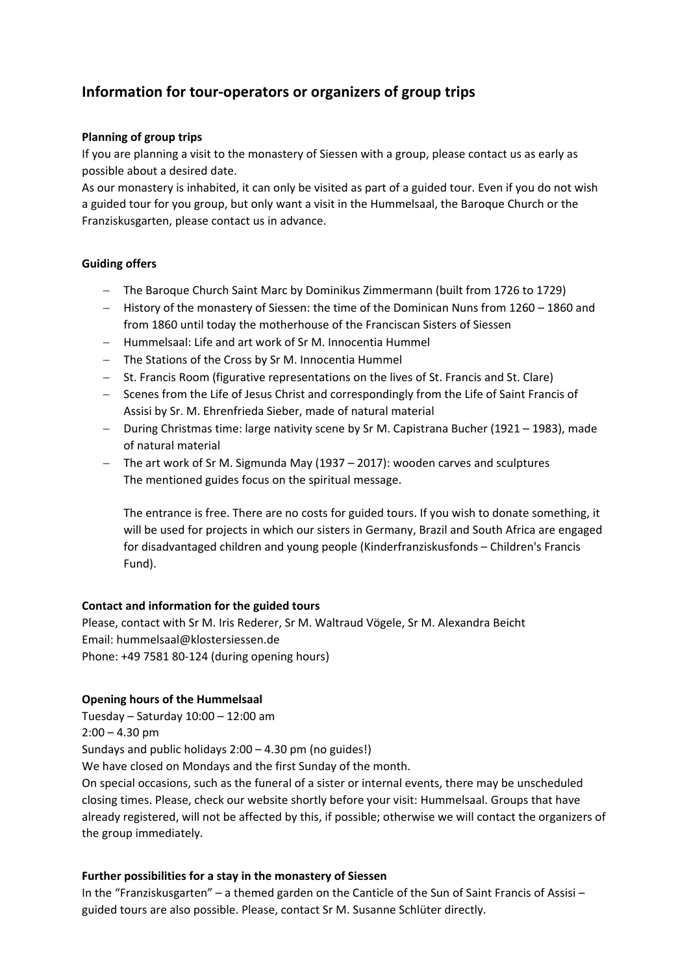# **Information for tour‐operators or organizers of group trips**

## **Planning of group trips**

If you are planning a visit to the monastery of Siessen with a group, please contact us as early as possible about a desired date.

As our monastery is inhabited, it can only be visited as part of a guided tour. Even if you do not wish a guided tour for you group, but only want a visit in the Hummelsaal, the Baroque Church or the Franziskusgarten, please contact us in advance.

## **Guiding offers**

- The Baroque Church Saint Marc by Dominikus Zimmermann (built from 1726 to 1729)
- History of the monastery of Siessen: the time of the Dominican Nuns from 1260 1860 and from 1860 until today the motherhouse of the Franciscan Sisters of Siessen
- Hummelsaal: Life and art work of Sr M. Innocentia Hummel
- The Stations of the Cross by Sr M. Innocentia Hummel
- St. Francis Room (figurative representations on the lives of St. Francis and St. Clare)
- Scenes from the Life of Jesus Christ and correspondingly from the Life of Saint Francis of Assisi by Sr. M. Ehrenfrieda Sieber, made of natural material
- During Christmas time: large nativity scene by Sr M. Capistrana Bucher (1921 1983), made of natural material
- The art work of Sr M. Sigmunda May (1937 2017): wooden carves and sculptures The mentioned guides focus on the spiritual message.

The entrance is free. There are no costs for guided tours. If you wish to donate something, it will be used for projects in which our sisters in Germany, Brazil and South Africa are engaged for disadvantaged children and young people (Kinderfranziskusfonds – Children's Francis Fund).

# **Contact and information for the guided tours**

Please, contact with Sr M. Iris Rederer, Sr M. Waltraud Vögele, Sr M. Alexandra Beicht Email: hummelsaal@klostersiessen.de Phone: +49 7581 80‐124 (during opening hours)

# **Opening hours of the Hummelsaal**

Tuesday – Saturday 10:00 – 12:00 am  $2:00 - 4.30$  pm Sundays and public holidays 2:00 – 4.30 pm (no guides!) We have closed on Mondays and the first Sunday of the month. On special occasions, such as the funeral of a sister or internal events, there may be unscheduled closing times. Please, check our website shortly before your visit: Hummelsaal. Groups that have already registered, will not be affected by this, if possible; otherwise we will contact the organizers of the group immediately.

#### **Further possibilities for a stay in the monastery of Siessen**

In the "Franziskusgarten" – a themed garden on the Canticle of the Sun of Saint Francis of Assisi – guided tours are also possible. Please, contact Sr M. Susanne Schlüter directly.